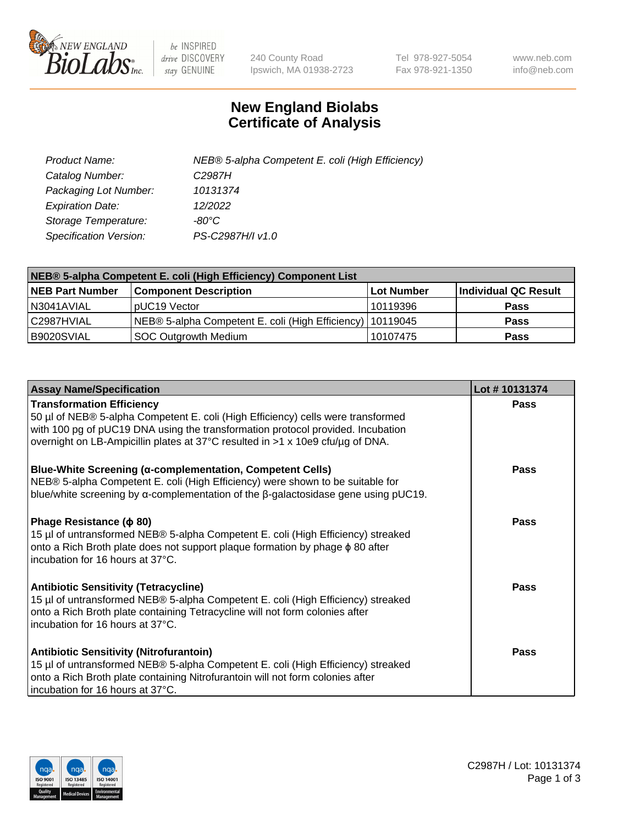

 $be$  INSPIRED drive DISCOVERY stay GENUINE

240 County Road Ipswich, MA 01938-2723 Tel 978-927-5054 Fax 978-921-1350 www.neb.com info@neb.com

## **New England Biolabs Certificate of Analysis**

| Product Name:           | NEB® 5-alpha Competent E. coli (High Efficiency) |
|-------------------------|--------------------------------------------------|
| Catalog Number:         | C <sub>2987</sub> H                              |
| Packaging Lot Number:   | 10131374                                         |
| <b>Expiration Date:</b> | 12/2022                                          |
| Storage Temperature:    | -80°C                                            |
| Specification Version:  | PS-C2987H/I v1.0                                 |

| NEB® 5-alpha Competent E. coli (High Efficiency) Component List |                                                             |                   |                      |  |
|-----------------------------------------------------------------|-------------------------------------------------------------|-------------------|----------------------|--|
| <b>NEB Part Number</b>                                          | <b>Component Description</b>                                | <b>Lot Number</b> | Individual QC Result |  |
| N3041AVIAL                                                      | pUC19 Vector                                                | 10119396          | <b>Pass</b>          |  |
| C2987HVIAL                                                      | NEB® 5-alpha Competent E. coli (High Efficiency)   10119045 |                   | <b>Pass</b>          |  |
| B9020SVIAL                                                      | <b>SOC Outgrowth Medium</b>                                 | 10107475          | <b>Pass</b>          |  |

| <b>Assay Name/Specification</b>                                                                                                                                                                                                                                                           | Lot #10131374 |
|-------------------------------------------------------------------------------------------------------------------------------------------------------------------------------------------------------------------------------------------------------------------------------------------|---------------|
| <b>Transformation Efficiency</b><br>50 µl of NEB® 5-alpha Competent E. coli (High Efficiency) cells were transformed<br>with 100 pg of pUC19 DNA using the transformation protocol provided. Incubation<br>overnight on LB-Ampicillin plates at 37°C resulted in >1 x 10e9 cfu/µg of DNA. | Pass          |
| <b>Blue-White Screening (α-complementation, Competent Cells)</b><br>NEB® 5-alpha Competent E. coli (High Efficiency) were shown to be suitable for<br>blue/white screening by $\alpha$ -complementation of the $\beta$ -galactosidase gene using pUC19.                                   | Pass          |
| Phage Resistance (φ 80)<br>15 µl of untransformed NEB® 5-alpha Competent E. coli (High Efficiency) streaked<br>onto a Rich Broth plate does not support plaque formation by phage $\phi$ 80 after<br>l incubation for 16 hours at 37°C.                                                   | Pass          |
| <b>Antibiotic Sensitivity (Tetracycline)</b><br>15 µl of untransformed NEB® 5-alpha Competent E. coli (High Efficiency) streaked<br>onto a Rich Broth plate containing Tetracycline will not form colonies after<br>incubation for 16 hours at 37°C.                                      | Pass          |
| <b>Antibiotic Sensitivity (Nitrofurantoin)</b><br>15 µl of untransformed NEB® 5-alpha Competent E. coli (High Efficiency) streaked<br>onto a Rich Broth plate containing Nitrofurantoin will not form colonies after<br>incubation for 16 hours at 37°C.                                  | Pass          |

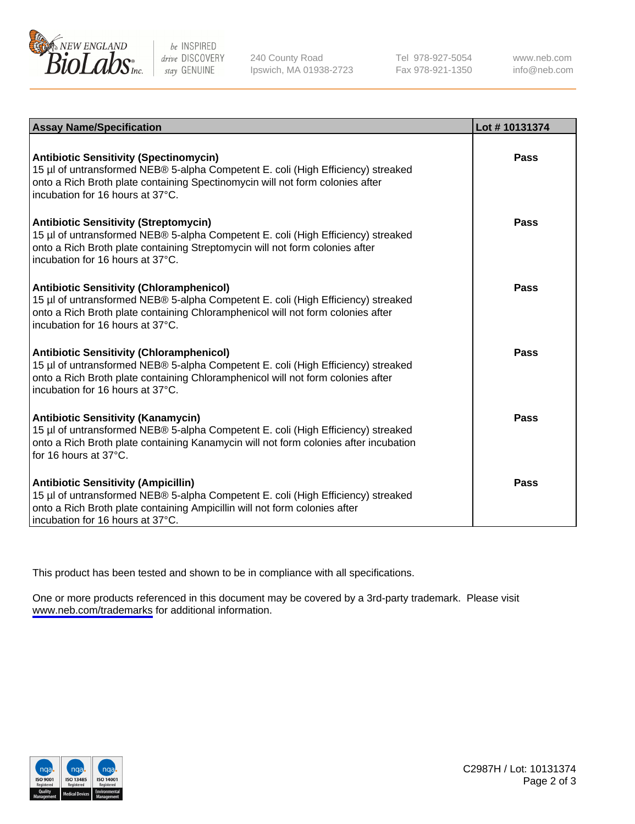

be INSPIRED drive DISCOVERY stay GENUINE

240 County Road Ipswich, MA 01938-2723 Tel 978-927-5054 Fax 978-921-1350

www.neb.com info@neb.com

| <b>Assay Name/Specification</b>                                                                                                                                                                                                                            | Lot #10131374 |
|------------------------------------------------------------------------------------------------------------------------------------------------------------------------------------------------------------------------------------------------------------|---------------|
| <b>Antibiotic Sensitivity (Spectinomycin)</b><br>15 µl of untransformed NEB® 5-alpha Competent E. coli (High Efficiency) streaked<br>onto a Rich Broth plate containing Spectinomycin will not form colonies after<br>incubation for 16 hours at 37°C.     | Pass          |
| <b>Antibiotic Sensitivity (Streptomycin)</b><br>15 µl of untransformed NEB® 5-alpha Competent E. coli (High Efficiency) streaked<br>onto a Rich Broth plate containing Streptomycin will not form colonies after<br>incubation for 16 hours at 37°C.       | Pass          |
| <b>Antibiotic Sensitivity (Chloramphenicol)</b><br>15 µl of untransformed NEB® 5-alpha Competent E. coli (High Efficiency) streaked<br>onto a Rich Broth plate containing Chloramphenicol will not form colonies after<br>incubation for 16 hours at 37°C. | Pass          |
| <b>Antibiotic Sensitivity (Chloramphenicol)</b><br>15 µl of untransformed NEB® 5-alpha Competent E. coli (High Efficiency) streaked<br>onto a Rich Broth plate containing Chloramphenicol will not form colonies after<br>incubation for 16 hours at 37°C. | Pass          |
| <b>Antibiotic Sensitivity (Kanamycin)</b><br>15 µl of untransformed NEB® 5-alpha Competent E. coli (High Efficiency) streaked<br>onto a Rich Broth plate containing Kanamycin will not form colonies after incubation<br>for 16 hours at $37^{\circ}$ C.   | Pass          |
| <b>Antibiotic Sensitivity (Ampicillin)</b><br>15 µl of untransformed NEB® 5-alpha Competent E. coli (High Efficiency) streaked<br>onto a Rich Broth plate containing Ampicillin will not form colonies after<br>incubation for 16 hours at 37°C.           | Pass          |

This product has been tested and shown to be in compliance with all specifications.

One or more products referenced in this document may be covered by a 3rd-party trademark. Please visit <www.neb.com/trademarks>for additional information.